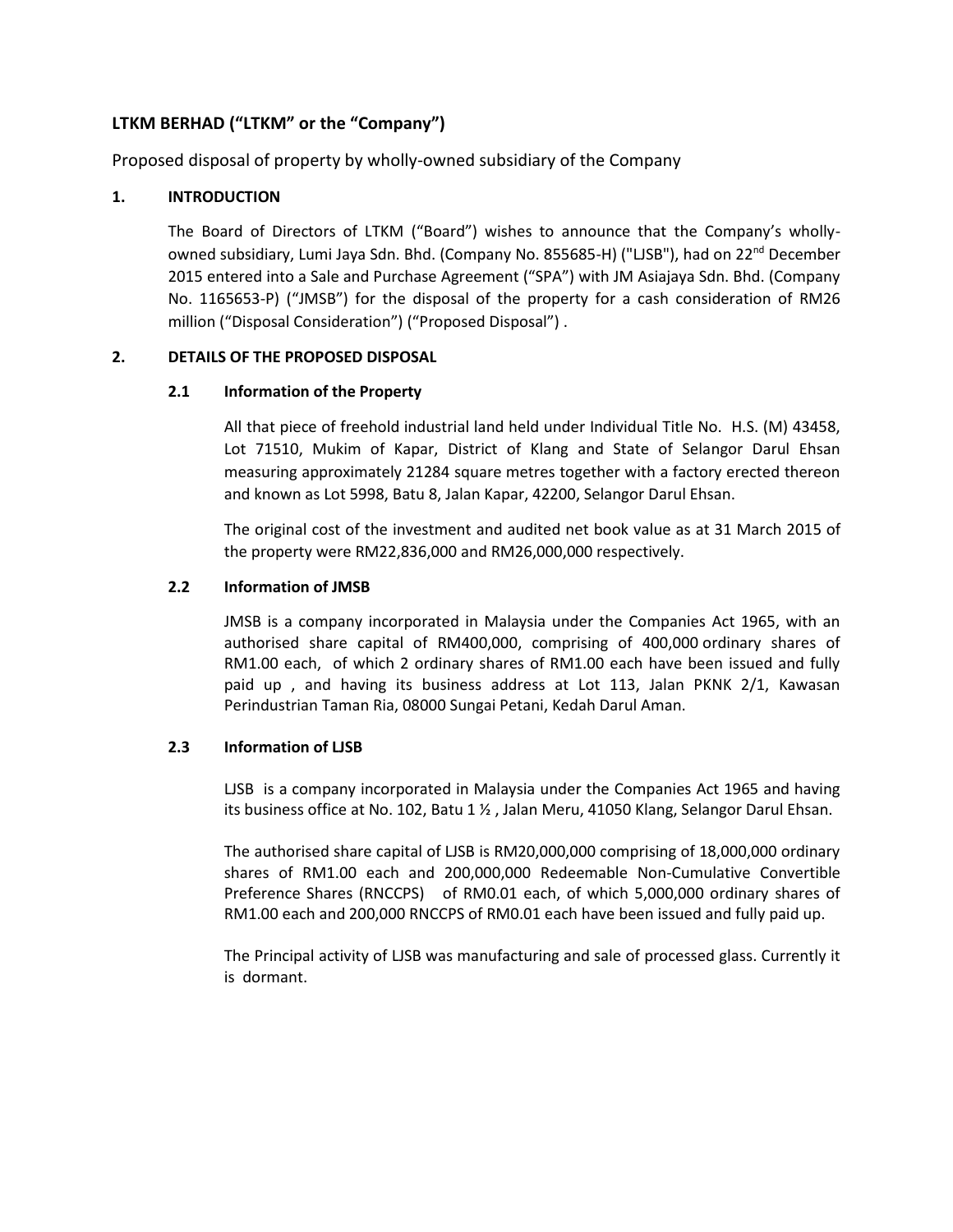# **LTKM BERHAD ("LTKM" or the "Company")**

Proposed disposal of property by wholly-owned subsidiary of the Company

## **1. INTRODUCTION**

The Board of Directors of LTKM ("Board") wishes to announce that the Company's whollyowned subsidiary, Lumi Jaya Sdn. Bhd. (Company No. 855685-H) ("LJSB"), had on 22nd December 2015 entered into a Sale and Purchase Agreement ("SPA") with JM Asiajaya Sdn. Bhd. (Company No. 1165653-P) ("JMSB") for the disposal of the property for a cash consideration of RM26 million ("Disposal Consideration") ("Proposed Disposal") .

## **2. DETAILS OF THE PROPOSED DISPOSAL**

## **2.1 Information of the Property**

All that piece of freehold industrial land held under Individual Title No. H.S. (M) 43458, Lot 71510, Mukim of Kapar, District of Klang and State of Selangor Darul Ehsan measuring approximately 21284 square metres together with a factory erected thereon and known as Lot 5998, Batu 8, Jalan Kapar, 42200, Selangor Darul Ehsan.

The original cost of the investment and audited net book value as at 31 March 2015 of the property were RM22,836,000 and RM26,000,000 respectively.

## **2.2 Information of JMSB**

JMSB is a company incorporated in Malaysia under the Companies Act 1965, with an authorised share capital of RM400,000, comprising of 400,000 ordinary shares of RM1.00 each, of which 2 ordinary shares of RM1.00 each have been issued and fully paid up , and having its business address at Lot 113, Jalan PKNK 2/1, Kawasan Perindustrian Taman Ria, 08000 Sungai Petani, Kedah Darul Aman.

## **2.3 Information of LJSB**

LJSB is a company incorporated in Malaysia under the Companies Act 1965 and having its business office at No. 102, Batu 1 ½ , Jalan Meru, 41050 Klang, Selangor Darul Ehsan.

The authorised share capital of LJSB is RM20,000,000 comprising of 18,000,000 ordinary shares of RM1.00 each and 200,000,000 Redeemable Non-Cumulative Convertible Preference Shares (RNCCPS) of RM0.01 each, of which 5,000,000 ordinary shares of RM1.00 each and 200,000 RNCCPS of RM0.01 each have been issued and fully paid up.

The Principal activity of LJSB was manufacturing and sale of processed glass. Currently it is dormant.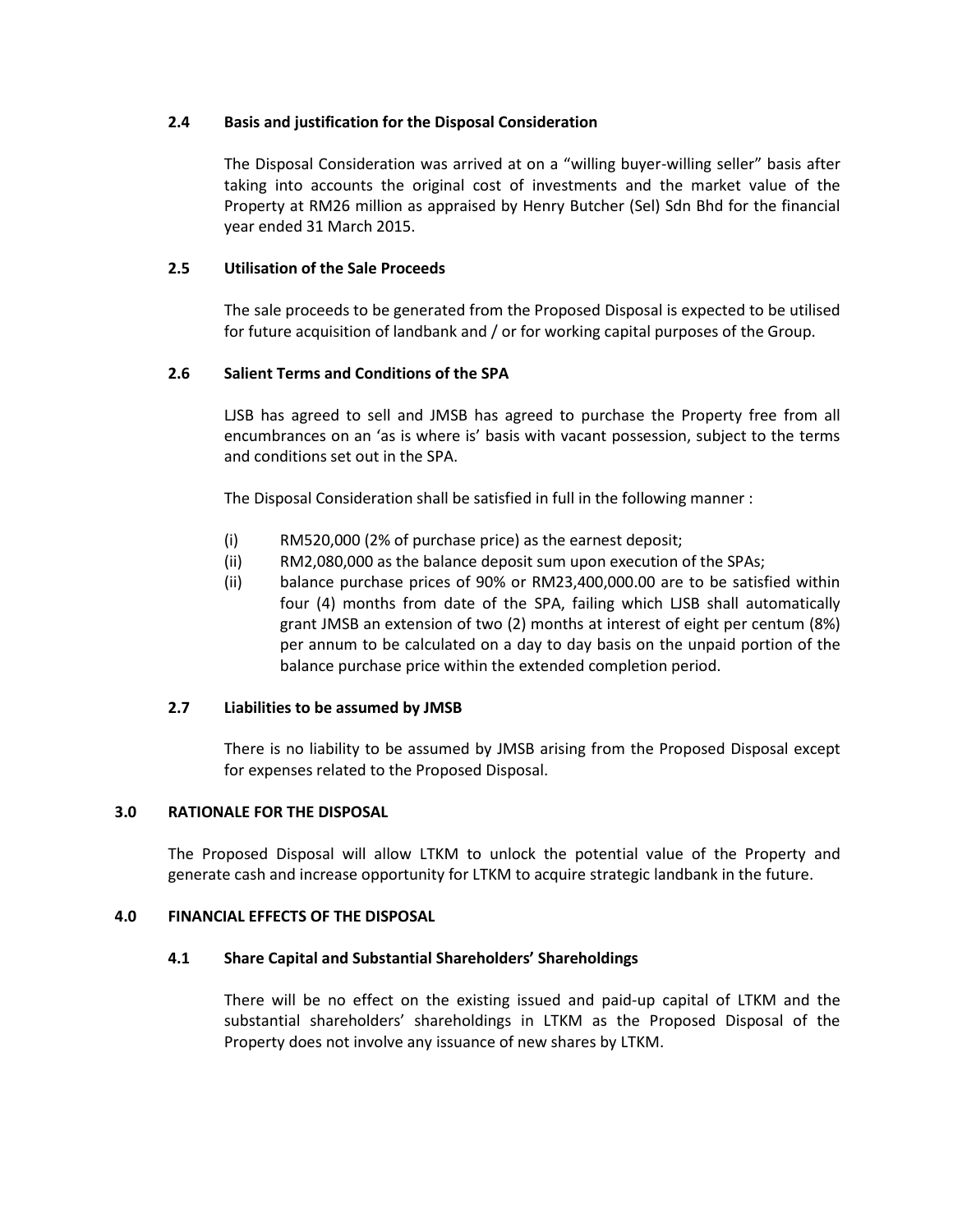### **2.4 Basis and justification for the Disposal Consideration**

The Disposal Consideration was arrived at on a "willing buyer-willing seller" basis after taking into accounts the original cost of investments and the market value of the Property at RM26 million as appraised by Henry Butcher (Sel) Sdn Bhd for the financial year ended 31 March 2015.

## **2.5 Utilisation of the Sale Proceeds**

The sale proceeds to be generated from the Proposed Disposal is expected to be utilised for future acquisition of landbank and / or for working capital purposes of the Group.

## **2.6 Salient Terms and Conditions of the SPA**

LJSB has agreed to sell and JMSB has agreed to purchase the Property free from all encumbrances on an 'as is where is' basis with vacant possession, subject to the terms and conditions set out in the SPA.

The Disposal Consideration shall be satisfied in full in the following manner :

- (i) RM520,000 (2% of purchase price) as the earnest deposit;
- (ii) RM2,080,000 as the balance deposit sum upon execution of the SPAs;
- (ii) balance purchase prices of 90% or RM23,400,000.00 are to be satisfied within four (4) months from date of the SPA, failing which LJSB shall automatically grant JMSB an extension of two (2) months at interest of eight per centum (8%) per annum to be calculated on a day to day basis on the unpaid portion of the balance purchase price within the extended completion period.

#### **2.7 Liabilities to be assumed by JMSB**

There is no liability to be assumed by JMSB arising from the Proposed Disposal except for expenses related to the Proposed Disposal.

#### **3.0 RATIONALE FOR THE DISPOSAL**

The Proposed Disposal will allow LTKM to unlock the potential value of the Property and generate cash and increase opportunity for LTKM to acquire strategic landbank in the future.

#### **4.0 FINANCIAL EFFECTS OF THE DISPOSAL**

#### **4.1 Share Capital and Substantial Shareholders' Shareholdings**

There will be no effect on the existing issued and paid-up capital of LTKM and the substantial shareholders' shareholdings in LTKM as the Proposed Disposal of the Property does not involve any issuance of new shares by LTKM.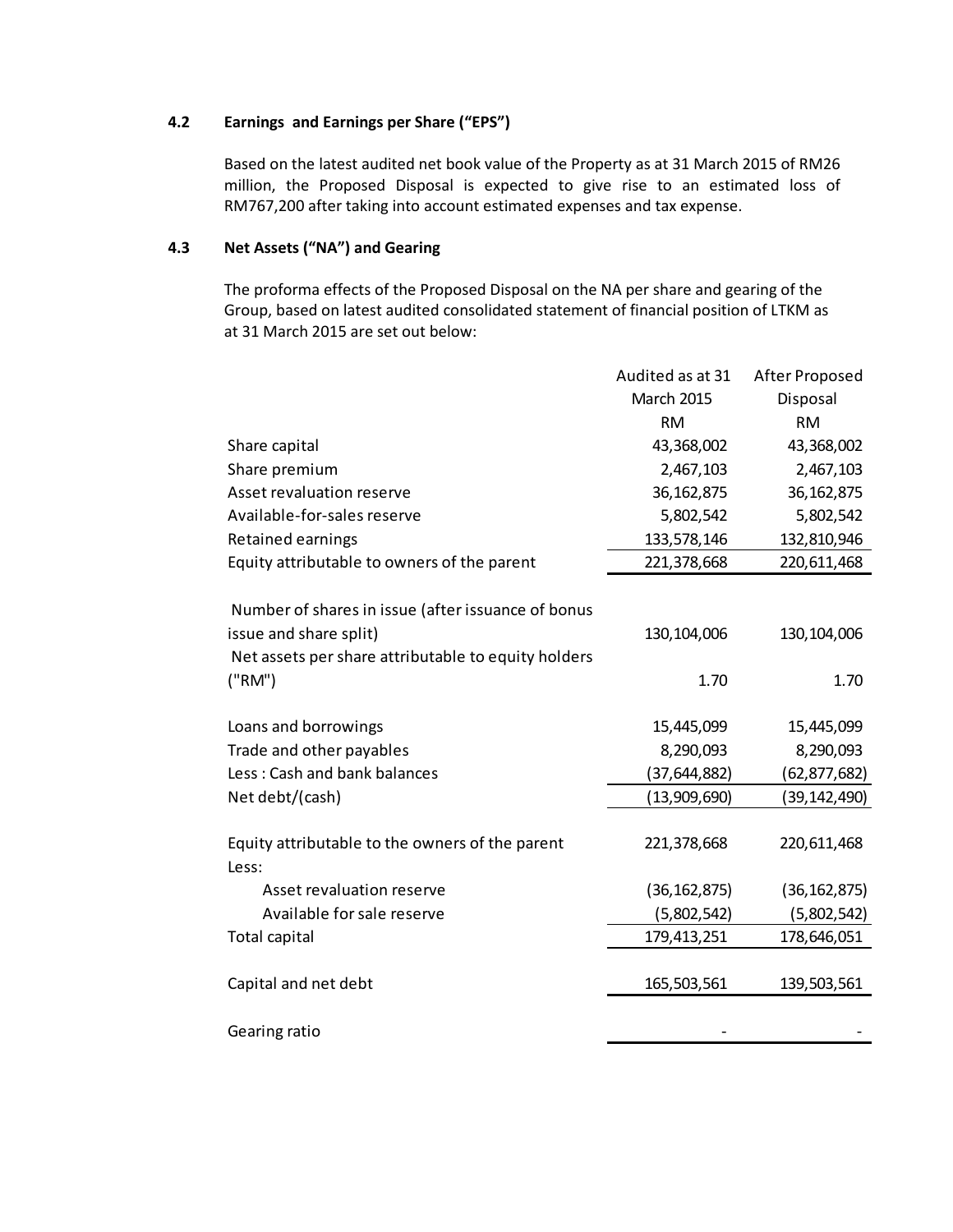### **4.2 Earnings and Earnings per Share ("EPS")**

Based on the latest audited net book value of the Property as at 31 March 2015 of RM26 million, the Proposed Disposal is expected to give rise to an estimated loss of RM767,200 after taking into account estimated expenses and tax expense.

## **4.3 Net Assets ("NA") and Gearing**

The proforma effects of the Proposed Disposal on the NA per share and gearing of the Group, based on latest audited consolidated statement of financial position of LTKM as at 31 March 2015 are set out below:

|                                                                                                                                     | Audited as at 31                          | After Proposed                            |
|-------------------------------------------------------------------------------------------------------------------------------------|-------------------------------------------|-------------------------------------------|
|                                                                                                                                     | March 2015                                | Disposal                                  |
|                                                                                                                                     | <b>RM</b>                                 | <b>RM</b>                                 |
| Share capital                                                                                                                       | 43,368,002                                | 43,368,002                                |
| Share premium                                                                                                                       | 2,467,103                                 | 2,467,103                                 |
| Asset revaluation reserve                                                                                                           | 36, 162, 875                              | 36, 162, 875                              |
| Available-for-sales reserve                                                                                                         | 5,802,542                                 | 5,802,542                                 |
| Retained earnings                                                                                                                   | 133,578,146                               | 132,810,946                               |
| Equity attributable to owners of the parent                                                                                         | 221,378,668                               | 220,611,468                               |
| Number of shares in issue (after issuance of bonus<br>issue and share split)<br>Net assets per share attributable to equity holders | 130, 104, 006                             | 130, 104, 006                             |
| ("RM")                                                                                                                              | 1.70                                      | 1.70                                      |
| Loans and borrowings<br>Trade and other payables<br>Less: Cash and bank balances                                                    | 15,445,099<br>8,290,093<br>(37, 644, 882) | 15,445,099<br>8,290,093<br>(62, 877, 682) |
| Net debt/(cash)                                                                                                                     | (13,909,690)                              | (39, 142, 490)                            |
| Equity attributable to the owners of the parent<br>Less:                                                                            | 221,378,668                               | 220,611,468                               |
| Asset revaluation reserve                                                                                                           | (36, 162, 875)                            | (36, 162, 875)                            |
| Available for sale reserve                                                                                                          | (5,802,542)                               | (5,802,542)                               |
| <b>Total capital</b>                                                                                                                | 179,413,251                               | 178,646,051                               |
| Capital and net debt                                                                                                                | 165,503,561                               | 139,503,561                               |
| Gearing ratio                                                                                                                       |                                           |                                           |